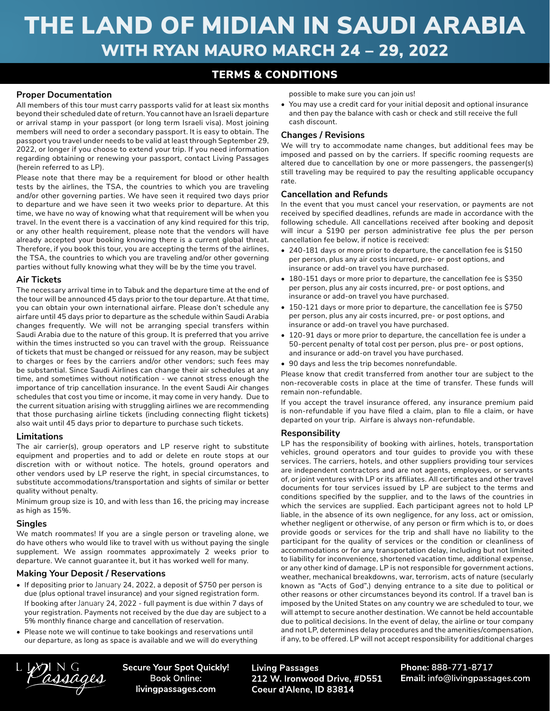# THE LAND OF MIDIAN IN SAUDI ARABIA WITH RYAN MAURO MARCH 24 – 29, 2022

## TERMS & CONDITIONS

#### **Proper Documentation**

All members of this tour must carry passports valid for at least six months beyond their scheduled date of return. You cannot have an Israeli departure or arrival stamp in your passport (or long term Israeli visa). Most joining members will need to order a secondary passport. It is easy to obtain. The passport you travel under needs to be valid at least through September 29, 2022, or longer if you choose to extend your trip. If you need information regarding obtaining or renewing your passport, contact Living Passages (herein referred to as LP).

Please note that there may be a requirement for blood or other health tests by the airlines, the TSA, the countries to which you are traveling and/or other governing parties. We have seen it required two days prior to departure and we have seen it two weeks prior to departure. At this time, we have no way of knowing what that requirement will be when you travel. In the event there is a vaccination of any kind required for this trip, or any other health requirement, please note that the vendors will have already accepted your booking knowing there is a current global threat. Therefore, if you book this tour, you are accepting the terms of the airlines, the TSA, the countries to which you are traveling and/or other governing parties without fully knowing what they will be by the time you travel.

#### **Air Tickets**

The necessary arrival time in to Tabuk and the departure time at the end of the tour will be announced 45 days prior to the tour departure. At that time, you can obtain your own international airfare. Please don't schedule any airfare until 45 days prior to departure as the schedule within Saudi Arabia changes frequently. We will not be arranging special transfers within Saudi Arabia due to the nature of this group. It is preferred that you arrive within the times instructed so you can travel with the group. Reissuance of tickets that must be changed or reissued for any reason, may be subject to charges or fees by the carriers and/or other vendors; such fees may be substantial. Since Saudi Airlines can change their air schedules at any time, and sometimes without notification - we cannot stress enough the importance of trip cancellation insurance. In the event Saudi Air changes schedules that cost you time or income, it may come in very handy. Due to the current situation arising with struggling airlines we are recommending that those purchasing airline tickets (including connecting flight tickets) also wait until 45 days prior to departure to purchase such tickets.

#### **Limitations**

The air carrier(s), group operators and LP reserve right to substitute equipment and properties and to add or delete en route stops at our discretion with or without notice. The hotels, ground operators and other vendors used by LP reserve the right, in special circumstances, to substitute accommodations/transportation and sights of similar or better quality without penalty.

Minimum group size is 10, and with less than 16, the pricing may increase as high as 15%.

#### **Singles**

We match roommates! If you are a single person or traveling alone, we do have others who would like to travel with us without paying the single supplement. We assign roommates approximately 2 weeks prior to departure. We cannot guarantee it, but it has worked well for many.

### **Making Your Deposit / Reservations**

- If depositing prior to January 24, 2022, a deposit of \$750 per person is due (plus optional travel insurance) and your signed registration form. If booking after January 24, 2022 - full payment is due within 7 days of your registration. Payments not received by the due day are subject to a 5% monthly finance charge and cancellation of reservation.
- Please note we will continue to take bookings and reservations until our departure, as long as space is available and we will do everything

possible to make sure you can join us!

• You may use a credit card for your initial deposit and optional insurance and then pay the balance with cash or check and still receive the full cash discount.

#### **Changes / Revisions**

We will try to accommodate name changes, but additional fees may be imposed and passed on by the carriers. If specific rooming requests are altered due to cancellation by one or more passengers, the passenger(s) still traveling may be required to pay the resulting applicable occupancy rate.

#### **Cancellation and Refunds**

In the event that you must cancel your reservation, or payments are not received by specified deadlines, refunds are made in accordance with the following schedule. All cancellations received after booking and deposit will incur a \$190 per person administrative fee plus the per person cancellation fee below, if notice is received:

- 240-181 days or more prior to departure, the cancellation fee is \$150 per person, plus any air costs incurred, pre- or post options, and insurance or add-on travel you have purchased.
- 180-151 days or more prior to departure, the cancellation fee is \$350 per person, plus any air costs incurred, pre- or post options, and insurance or add-on travel you have purchased.
- 150-121 days or more prior to departure, the cancellation fee is \$750 per person, plus any air costs incurred, pre- or post options, and insurance or add-on travel you have purchased.
- 120-91 days or more prior to departure, the cancellation fee is under a 50-percent penalty of total cost per person, plus pre- or post options, and insurance or add-on travel you have purchased.
- 90 days and less the trip becomes nonrefundable.

Please know that credit transferred from another tour are subject to the non-recoverable costs in place at the time of transfer. These funds will remain non-refundable.

If you accept the travel insurance offered, any insurance premium paid is non-refundable if you have filed a claim, plan to file a claim, or have departed on your trip. Airfare is always non-refundable.

#### **Responsibility**

LP has the responsibility of booking with airlines, hotels, transportation vehicles, ground operators and tour guides to provide you with these services. The carriers, hotels, and other suppliers providing tour services are independent contractors and are not agents, employees, or servants of, or joint ventures with LP or its affiliates. All certificates and other travel documents for tour services issued by LP are subject to the terms and conditions specified by the supplier, and to the laws of the countries in which the services are supplied. Each participant agrees not to hold LP liable, in the absence of its own negligence, for any loss, act or omission, whether negligent or otherwise, of any person or firm which is to, or does provide goods or services for the trip and shall have no liability to the participant for the quality of services or the condition or cleanliness of accommodations or for any transportation delay, including but not limited to liability for inconvenience, shortened vacation time, additional expense, or any other kind of damage. LP is not responsible for government actions, weather, mechanical breakdowns, war, terrorism, acts of nature (secularly known as "Acts of God",) denying entrance to a site due to political or other reasons or other circumstances beyond its control. If a travel ban is imposed by the United States on any country we are scheduled to tour, we will attempt to secure another destination. We cannot be held accountable due to political decisions. In the event of delay, the airline or tour company and not LP, determines delay procedures and the amenities/compensation, if any, to be offered. LP will not accept responsibility for additional charges

assages

**Secure Your Spot Quickly! Book Online:** livingpassages.com

**Living Passages** 212 W. Ironwood Drive, #D551 Coeur d'Alene, ID 83814

Phone: 888-771-8717 Email: info@livingpassages.com